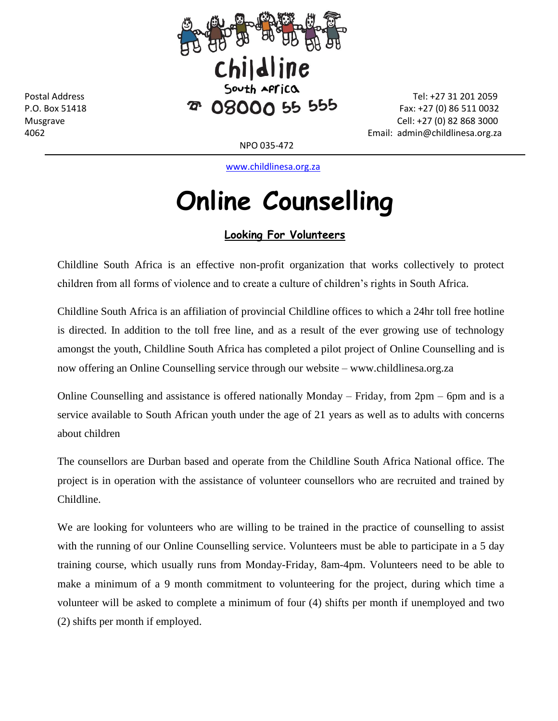

4062 Email: admin@childlinesa.org.za

NPO 035-472

[www.childlinesa.org.za](http://www.childlinesa.org.za/)

## **Online Counselling**

## **Looking For Volunteers**

Childline South Africa is an effective non-profit organization that works collectively to protect children from all forms of violence and to create a culture of children's rights in South Africa.

Childline South Africa is an affiliation of provincial Childline offices to which a 24hr toll free hotline is directed. In addition to the toll free line, and as a result of the ever growing use of technology amongst the youth, Childline South Africa has completed a pilot project of Online Counselling and is now offering an Online Counselling service through our website – www.childlinesa.org.za

Online Counselling and assistance is offered nationally Monday – Friday, from 2pm – 6pm and is a service available to South African youth under the age of 21 years as well as to adults with concerns about children

The counsellors are Durban based and operate from the Childline South Africa National office. The project is in operation with the assistance of volunteer counsellors who are recruited and trained by Childline.

We are looking for volunteers who are willing to be trained in the practice of counselling to assist with the running of our Online Counselling service. Volunteers must be able to participate in a 5 day training course, which usually runs from Monday-Friday, 8am-4pm. Volunteers need to be able to make a minimum of a 9 month commitment to volunteering for the project, during which time a volunteer will be asked to complete a minimum of four (4) shifts per month if unemployed and two (2) shifts per month if employed.